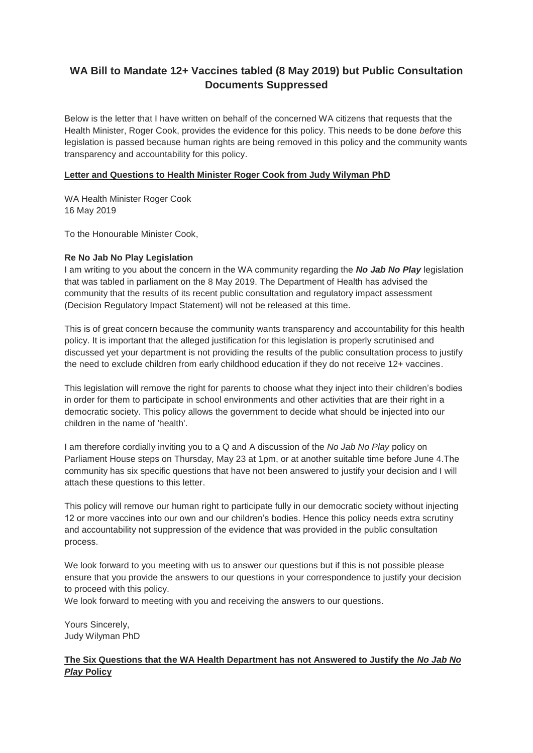## **WA Bill to Mandate 12+ Vaccines tabled (8 May 2019) but Public Consultation Documents Suppressed**

Below is the letter that I have written on behalf of the concerned WA citizens that requests that the Health Minister, Roger Cook, provides the evidence for this policy. This needs to be done *before* this legislation is passed because human rights are being removed in this policy and the community wants transparency and accountability for this policy.

## **Letter and Questions to Health Minister Roger Cook from Judy Wilyman PhD**

WA Health Minister Roger Cook 16 May 2019

To the Honourable Minister Cook,

## **Re No Jab No Play Legislation**

I am writing to you about the concern in the WA community regarding the *No Jab No Play* legislation that was tabled in parliament on the 8 May 2019. The Department of Health has advised the community that the results of its recent public consultation and regulatory impact assessment (Decision Regulatory Impact Statement) will not be released at this time.

This is of great concern because the community wants transparency and accountability for this health policy. It is important that the alleged justification for this legislation is properly scrutinised and discussed yet your department is not providing the results of the public consultation process to justify the need to exclude children from early childhood education if they do not receive 12+ vaccines.

This legislation will remove the right for parents to choose what they inject into their children's bodies in order for them to participate in school environments and other activities that are their right in a democratic society. This policy allows the government to decide what should be injected into our children in the name of 'health'.

I am therefore cordially inviting you to a Q and A discussion of the *No Jab No Play* policy on Parliament House steps on Thursday, May 23 at 1pm, or at another suitable time before June 4.The community has six specific questions that have not been answered to justify your decision and I will attach these questions to this letter.

This policy will remove our human right to participate fully in our democratic society without injecting 12 or more vaccines into our own and our children's bodies. Hence this policy needs extra scrutiny and accountability not suppression of the evidence that was provided in the public consultation process.

We look forward to you meeting with us to answer our questions but if this is not possible please ensure that you provide the answers to our questions in your correspondence to justify your decision to proceed with this policy.

We look forward to meeting with you and receiving the answers to our questions.

Yours Sincerely, Judy Wilyman PhD

## **The Six Questions that the WA Health Department has not Answered to Justify the** *No Jab No Play* **Policy**